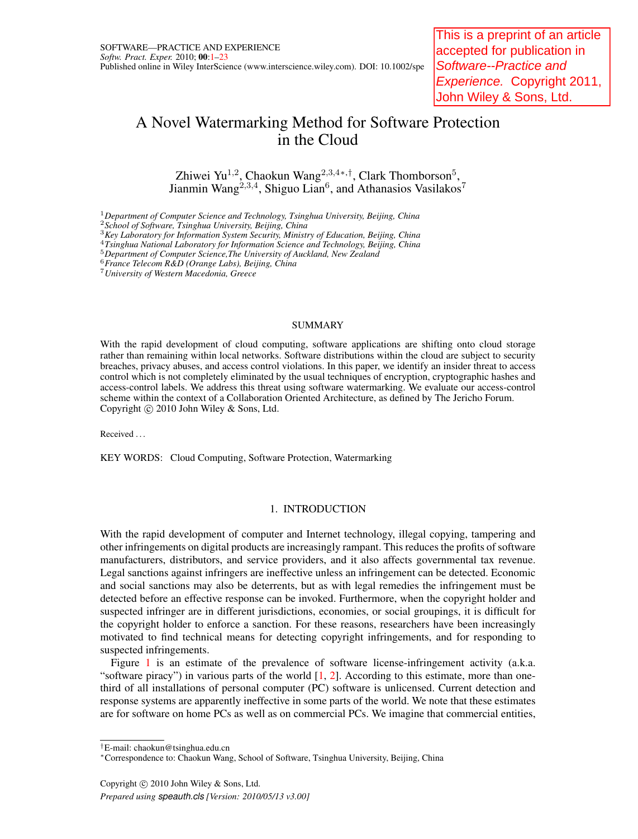This is a preprint of an article accepted for publication in Software--Practice and Experience. Copyright 2011, John Wiley & Sons, Ltd.

# A Novel Watermarking Method for Software Protection in the Cloud

Zhiwei Yu<sup>1</sup>*,*<sup>2</sup> , Chaokun Wang<sup>2</sup>*,*3*,*4*∗*,*†* , Clark Thomborson<sup>5</sup> , Jianmin Wang<sup>2,3,4</sup>, Shiguo Lian<sup>6</sup>, and Athanasios Vasilakos<sup>7</sup>

<sup>1</sup>*Department of Computer Science and Technology, Tsinghua University, Beijing, China*

<sup>2</sup>*School of Software, Tsinghua University, Beijing, China*

<sup>3</sup>*Key Laboratory for Information System Security, Ministry of Education, Beijing, China*

<sup>4</sup>*Tsinghua National Laboratory for Information Science and Technology, Beijing, China*

<sup>5</sup>*Department of Computer Science,The University of Auckland, New Zealand*

<sup>6</sup>*France Telecom R&D (Orange Labs), Beijing, China*

<sup>7</sup>*University of Western Macedonia, Greece*

#### **SUMMARY**

With the rapid development of cloud computing, software applications are shifting onto cloud storage rather than remaining within local networks. Software distributions within the cloud are subject to security breaches, privacy abuses, and access control violations. In this paper, we identify an insider threat to access control which is not completely eliminated by the usual techniques of encryption, cryptographic hashes and access-control labels. We address this threat using software watermarking. We evaluate our access-control scheme within the context of a Collaboration Oriented Architecture, as defined by The Jericho Forum. Copyright  $\odot$  2010 John Wiley & Sons, Ltd.

Received . . .

KEY WORDS: Cloud Computing, Software Protection, Watermarking

#### 1. INTRODUCTION

With the rapid development of computer and Internet technology, illegal copying, tampering and other infringements on digital products are increasingly rampant. This reduces the profits of software manufacturers, distributors, and service providers, and it also affects governmental tax revenue. Legal sanctions against infringers are ineffective unless an infringement can be detected. Economic and social sanctions may also be deterrents, but as with legal remedies the infringement must be detected before an effective response can be invoked. Furthermore, when the copyright holder and suspected infringer are in different jurisdictions, economies, or social groupings, it is difficult for the copyright holder to enforce a sanction. For these reasons, researchers have been increasingly motivated to find technical means for detecting copyright infringements, and for responding to suspected infringements.

Figure 1 is an estimate of the prevalence of software license-infringement activity (a.k.a. "software piracy") in various parts of the world  $[1, 2]$ . According to this estimate, more than onethird of all installations of personal computer (PC) software is unlicensed. Current detection and response systems are apparently ineffective in some parts of the world. We note that these estimates are for software on home PCs as well as on commercial PCs. We imagine that commercial entities,

*<sup>†</sup>*E-mail: chaokun@tsinghua.edu.cn

*<sup>∗</sup>*Correspondence to: Chaokun Wang, School of Software, Tsinghua University, Beijing, China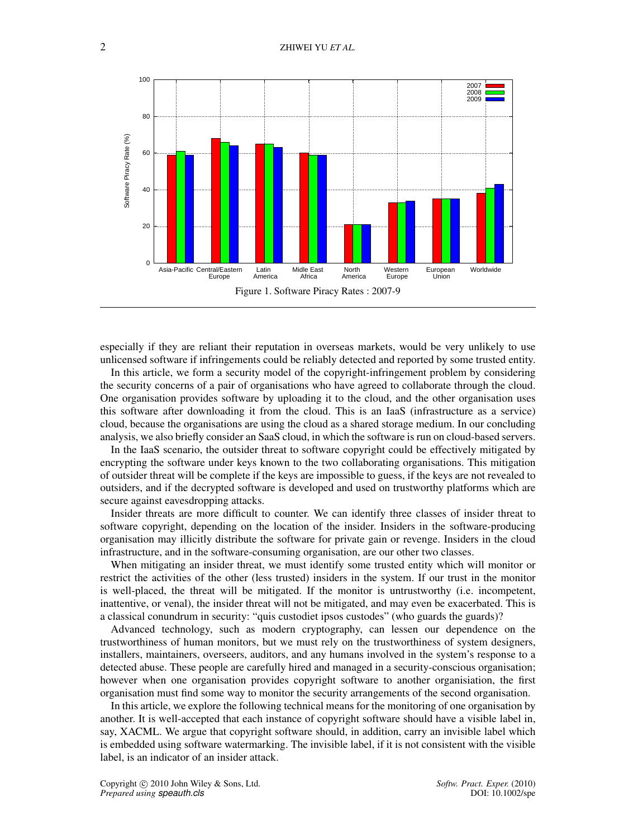

especially if they are reliant their reputation in overseas markets, would be very unlikely to use unlicensed software if infringements could be reliably detected and reported by some trusted entity.

In this article, we form a security model of the copyright-infringement problem by considering the security concerns of a pair of organisations who have agreed to collaborate through the cloud. One organisation provides software by uploading it to the cloud, and the other organisation uses this software after downloading it from the cloud. This is an IaaS (infrastructure as a service) cloud, because the organisations are using the cloud as a shared storage medium. In our concluding analysis, we also briefly consider an SaaS cloud, in which the software is run on cloud-based servers.

In the IaaS scenario, the outsider threat to software copyright could be effectively mitigated by encrypting the software under keys known to the two collaborating organisations. This mitigation of outsider threat will be complete if the keys are impossible to guess, if the keys are not revealed to outsiders, and if the decrypted software is developed and used on trustworthy platforms which are secure against eavesdropping attacks.

Insider threats are more difficult to counter. We can identify three classes of insider threat to software copyright, depending on the location of the insider. Insiders in the software-producing organisation may illicitly distribute the software for private gain or revenge. Insiders in the cloud infrastructure, and in the software-consuming organisation, are our other two classes.

When mitigating an insider threat, we must identify some trusted entity which will monitor or restrict the activities of the other (less trusted) insiders in the system. If our trust in the monitor is well-placed, the threat will be mitigated. If the monitor is untrustworthy (i.e. incompetent, inattentive, or venal), the insider threat will not be mitigated, and may even be exacerbated. This is a classical conundrum in security: "quis custodiet ipsos custodes" (who guards the guards)?

Advanced technology, such as modern cryptography, can lessen our dependence on the trustworthiness of human monitors, but we must rely on the trustworthiness of system designers, installers, maintainers, overseers, auditors, and any humans involved in the system's response to a detected abuse. These people are carefully hired and managed in a security-conscious organisation; however when one organisation provides copyright software to another organisiation, the first organisation must find some way to monitor the security arrangements of the second organisation.

In this article, we explore the following technical means for the monitoring of one organisation by another. It is well-accepted that each instance of copyright software should have a visible label in, say, XACML. We argue that copyright software should, in addition, carry an invisible label which is embedded using software watermarking. The invisible label, if it is not consistent with the visible label, is an indicator of an insider attack.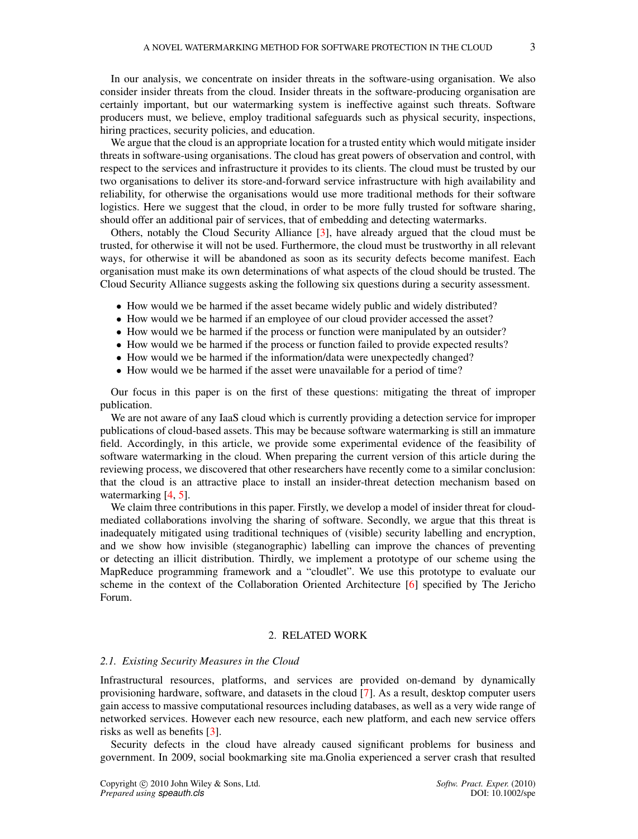In our analysis, we concentrate on insider threats in the software-using organisation. We also consider insider threats from the cloud. Insider threats in the software-producing organisation are certainly important, but our watermarking system is ineffective against such threats. Software producers must, we believe, employ traditional safeguards such as physical security, inspections, hiring practices, security policies, and education.

We argue that the cloud is an appropriate location for a trusted entity which would mitigate insider threats in software-using organisations. The cloud has great powers of observation and control, with respect to the services and infrastructure it provides to its clients. The cloud must be trusted by our two organisations to deliver its store-and-forward service infrastructure with high availability and reliability, for otherwise the organisations would use more traditional methods for their software logistics. Here we suggest that the cloud, in order to be more fully trusted for software sharing, should offer an additional pair of services, that of embedding and detecting watermarks.

Others, notably the Cloud Security Alliance [3], have already argued that the cloud must be trusted, for otherwise it will not be used. Furthermore, the cloud must be trustworthy in all relevant ways, for otherwise it will be abandoned as soon as its security defects become manifest. Each organisation must make its own determinations of what aspects of the cloud should be trusted. The Cloud Security Alliance suggests asking the following six questions during a security assessment.

- How would we be harmed if the asset became widely public and widely distributed?
- How would we be harmed if an employee of our cloud provider accessed the asset?
- How would we be harmed if the process or function were manipulated by an outsider?
- How would we be harmed if the process or function failed to provide expected results?
- How would we be harmed if the information/data were unexpectedly changed?
- *•* How would we be harmed if the asset were unavailable for a period of time?

Our focus in this paper is on the first of these questions: mitigating the threat of improper publication.

We are not aware of any IaaS cloud which is currently providing a detection service for improper publications of cloud-based assets. This may be because software watermarking is still an immature field. Accordingly, in this article, we provide some experimental evidence of the feasibility of software watermarking in the cloud. When preparing the current version of this article during the reviewing process, we discovered that other researchers have recently come to a similar conclusion: that the cloud is an attractive place to install an insider-threat detection mechanism based on watermarking [4, 5].

We claim three contributions in this paper. Firstly, we develop a model of insider threat for cloudmediated collaborations involving the sharing of software. Secondly, we argue that this threat is inadequately mitigated using traditional techniques of (visible) security labelling and encryption, and we show how invisible (steganographic) labelling can improve the chances of preventing or detecting an illicit distribution. Thirdly, we implement a prototype of our scheme using the MapReduce programming framework and a "cloudlet". We use this prototype to evaluate our scheme in the context of the Collaboration Oriented Architecture [6] specified by The Jericho Forum.

# 2. RELATED WORK

## *2.1. Existing Security Measures in the Cloud*

Infrastructural resources, platforms, and services are provided on-demand by dynamically provisioning hardware, software, and datasets in the cloud [7]. As a result, desktop computer users gain access to massive computational resources including databases, as well as a very wide range of networked services. However each new resource, each new platform, and each new service offers risks as well as benefits [3].

Security defects in the cloud have already caused significant problems for business and government. In 2009, social bookmarking site ma.Gnolia experienced a server crash that resulted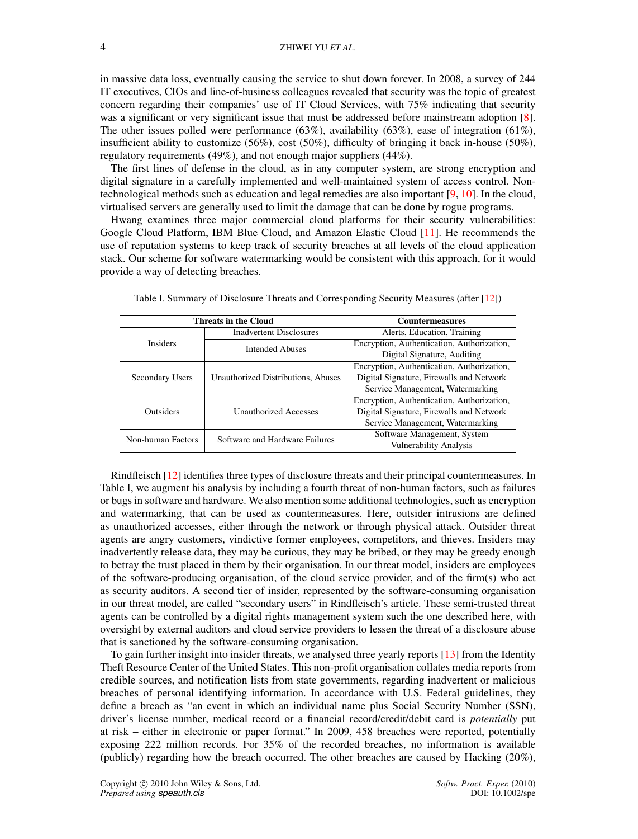in massive data loss, eventually causing the service to shut down forever. In 2008, a survey of 244 IT executives, CIOs and line-of-business colleagues revealed that security was the topic of greatest concern regarding their companies' use of IT Cloud Services, with 75% indicating that security was a significant or very significant issue that must be addressed before mainstream adoption [8]. The other issues polled were performance  $(63\%)$ , availability  $(63\%)$ , ease of integration  $(61\%)$ , insufficient ability to customize (56%), cost (50%), difficulty of bringing it back in-house (50%), regulatory requirements (49%), and not enough major suppliers (44%).

The first lines of defense in the cloud, as in any computer system, are strong encryption and digital signature in a carefully implemented and well-maintained system of access control. Nontechnological methods such as education and legal remedies are also important [9, 10]. In the cloud, virtualised servers are generally used to limit the damage that can be done by rogue programs.

Hwang examines three major commercial cloud platforms for their security vulnerabilities: Google Cloud Platform, IBM Blue Cloud, and Amazon Elastic Cloud [11]. He recommends the use of reputation systems to keep track of security breaches at all levels of the cloud application stack. Our scheme for software watermarking would be consistent with this approach, for it would provide a way of detecting breaches.

|                   | <b>Threats in the Cloud</b>        | <b>Countermeasures</b>                     |  |  |
|-------------------|------------------------------------|--------------------------------------------|--|--|
|                   | <b>Inadvertent Disclosures</b>     | Alerts, Education, Training                |  |  |
| <b>Insiders</b>   | Intended Abuses                    | Encryption, Authentication, Authorization, |  |  |
|                   |                                    | Digital Signature, Auditing                |  |  |
|                   |                                    | Encryption, Authentication, Authorization, |  |  |
| Secondary Users   | Unauthorized Distributions, Abuses | Digital Signature, Firewalls and Network   |  |  |
|                   |                                    | Service Management, Watermarking           |  |  |
|                   |                                    | Encryption, Authentication, Authorization, |  |  |
| <b>Outsiders</b>  | <b>Unauthorized Accesses</b>       | Digital Signature, Firewalls and Network   |  |  |
|                   |                                    | Service Management, Watermarking           |  |  |
| Non-human Factors | Software and Hardware Failures     | Software Management, System                |  |  |
|                   |                                    | Vulnerability Analysis                     |  |  |

Table I. Summary of Disclosure Threats and Corresponding Security Measures (after [12])

Rindfleisch [12] identifies three types of disclosure threats and their principal countermeasures. In Table I, we augment his analysis by including a fourth threat of non-human factors, such as failures or bugs in software and hardware. We also mention some additional technologies, such as encryption and watermarking, that can be used as countermeasures. Here, outsider intrusions are defined as unauthorized accesses, either through the network or through physical attack. Outsider threat agents are angry customers, vindictive former employees, competitors, and thieves. Insiders may inadvertently release data, they may be curious, they may be bribed, or they may be greedy enough to betray the trust placed in them by their organisation. In our threat model, insiders are employees of the software-producing organisation, of the cloud service provider, and of the firm(s) who act as security auditors. A second tier of insider, represented by the software-consuming organisation in our threat model, are called "secondary users" in Rindfleisch's article. These semi-trusted threat agents can be controlled by a digital rights management system such the one described here, with oversight by external auditors and cloud service providers to lessen the threat of a disclosure abuse that is sanctioned by the software-consuming organisation.

To gain further insight into insider threats, we analysed three yearly reports [13] from the Identity Theft Resource Center of the United States. This non-profit organisation collates media reports from credible sources, and notification lists from state governments, regarding inadvertent or malicious breaches of personal identifying information. In accordance with U.S. Federal guidelines, they define a breach as "an event in which an individual name plus Social Security Number (SSN), driver's license number, medical record or a financial record/credit/debit card is *potentially* put at risk – either in electronic or paper format." In 2009, 458 breaches were reported, potentially exposing 222 million records. For 35% of the recorded breaches, no information is available (publicly) regarding how the breach occurred. The other breaches are caused by Hacking (20%),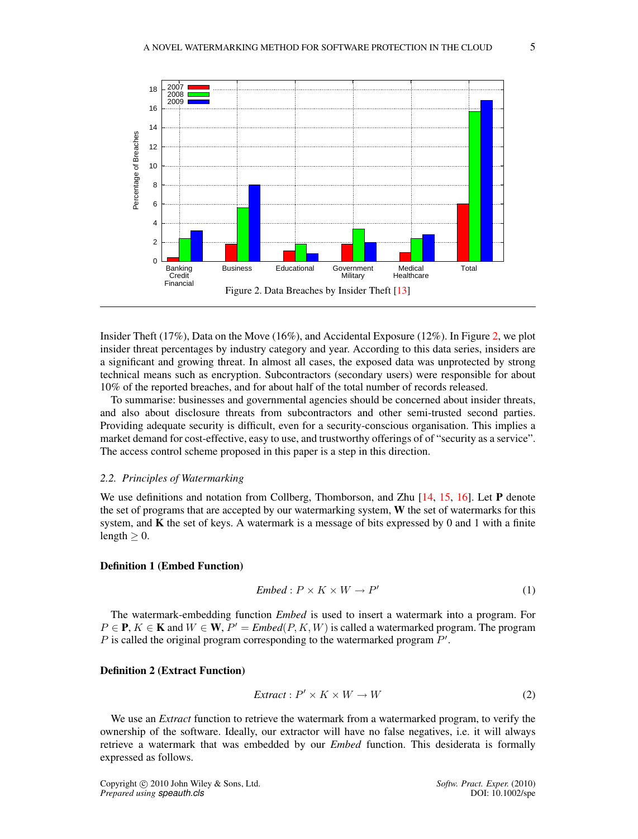

Insider Theft (17%), Data on the Move (16%), and Accidental Exposure (12%). In Figure 2, we plot insider threat percentages by industry category and year. According to this data series, insiders are a significant and growing threat. In almost all cases, the exposed data was unprotected by strong technical means such as encryption. Subcontractors (secondary users) were responsible for about 10% of the reported breaches, and for about half of the total number of records released.

To summarise: businesses and governmental agencies should be concerned about insider threats, and also about disclosure threats from subcontractors and other semi-trusted second parties. Providing adequate security is difficult, even for a security-conscious organisation. This implies a market demand for cost-effective, easy to use, and trustworthy offerings of of "security as a service". The access control scheme proposed in this paper is a step in this direction.

#### *2.2. Principles of Watermarking*

We use definitions and notation from Collberg, Thomborson, and Zhu [14, 15, 16]. Let **P** denote the set of programs that are accepted by our watermarking system, W the set of watermarks for this system, and  $\bf{K}$  the set of keys. A watermark is a message of bits expressed by 0 and 1 with a finite length  $\geq 0$ .

## Definition 1 (Embed Function)

$$
Embed: P \times K \times W \to P'
$$
 (1)

The watermark-embedding function *Embed* is used to insert a watermark into a program. For  $P \in \mathbf{P}, K \in \mathbf{K}$  and  $W \in \mathbf{W}, P' = Embed(P, K, W)$  is called a watermarked program. The program *P* is called the original program corresponding to the watermarked program *P ′* .

#### Definition 2 (Extract Function)

$$
Extract: P' \times K \times W \to W \tag{2}
$$

We use an *Extract* function to retrieve the watermark from a watermarked program, to verify the ownership of the software. Ideally, our extractor will have no false negatives, i.e. it will always retrieve a watermark that was embedded by our *Embed* function. This desiderata is formally expressed as follows.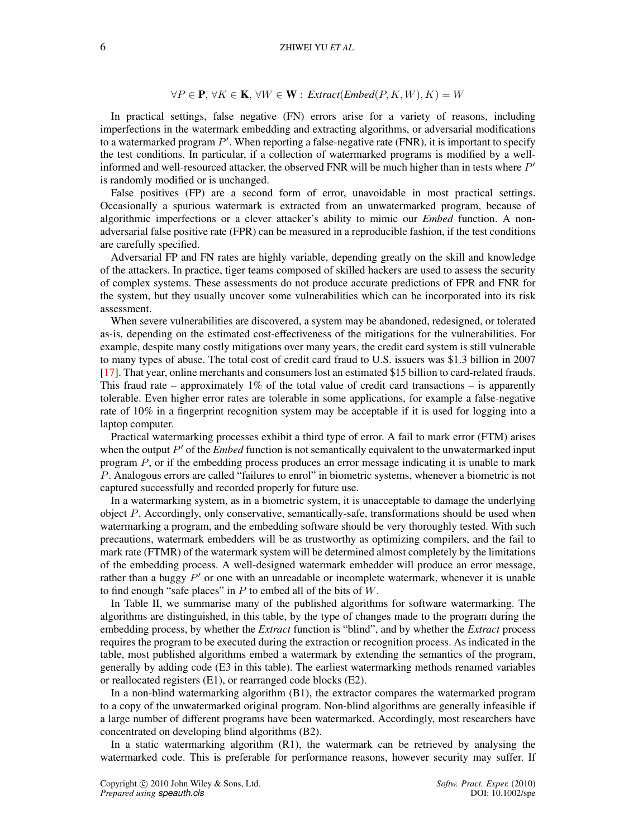# *∀P*  $\in$  **P**,  $\forall K \in$  **K**,  $\forall W \in$  **W** : *Extract*(*Embed*(*P, K, W*)*, K*) = *W*

In practical settings, false negative (FN) errors arise for a variety of reasons, including imperfections in the watermark embedding and extracting algorithms, or adversarial modifications to a watermarked program *P ′* . When reporting a false-negative rate (FNR), it is important to specify the test conditions. In particular, if a collection of watermarked programs is modified by a wellinformed and well-resourced attacker, the observed FNR will be much higher than in tests where *P ′* is randomly modified or is unchanged.

False positives (FP) are a second form of error, unavoidable in most practical settings. Occasionally a spurious watermark is extracted from an unwatermarked program, because of algorithmic imperfections or a clever attacker's ability to mimic our *Embed* function. A nonadversarial false positive rate (FPR) can be measured in a reproducible fashion, if the test conditions are carefully specified.

Adversarial FP and FN rates are highly variable, depending greatly on the skill and knowledge of the attackers. In practice, tiger teams composed of skilled hackers are used to assess the security of complex systems. These assessments do not produce accurate predictions of FPR and FNR for the system, but they usually uncover some vulnerabilities which can be incorporated into its risk assessment.

When severe vulnerabilities are discovered, a system may be abandoned, redesigned, or tolerated as-is, depending on the estimated cost-effectiveness of the mitigations for the vulnerabilities. For example, despite many costly mitigations over many years, the credit card system is still vulnerable to many types of abuse. The total cost of credit card fraud to U.S. issuers was \$1.3 billion in 2007 [17]. That year, online merchants and consumers lost an estimated \$15 billion to card-related frauds. This fraud rate – approximately 1% of the total value of credit card transactions – is apparently tolerable. Even higher error rates are tolerable in some applications, for example a false-negative rate of 10% in a fingerprint recognition system may be acceptable if it is used for logging into a laptop computer.

Practical watermarking processes exhibit a third type of error. A fail to mark error (FTM) arises when the output *P ′* of the *Embed* function is not semantically equivalent to the unwatermarked input program *P*, or if the embedding process produces an error message indicating it is unable to mark *P*. Analogous errors are called "failures to enrol" in biometric systems, whenever a biometric is not captured successfully and recorded properly for future use.

In a watermarking system, as in a biometric system, it is unacceptable to damage the underlying object *P*. Accordingly, only conservative, semantically-safe, transformations should be used when watermarking a program, and the embedding software should be very thoroughly tested. With such precautions, watermark embedders will be as trustworthy as optimizing compilers, and the fail to mark rate (FTMR) of the watermark system will be determined almost completely by the limitations of the embedding process. A well-designed watermark embedder will produce an error message, rather than a buggy  $P'$  or one with an unreadable or incomplete watermark, whenever it is unable to find enough "safe places" in *P* to embed all of the bits of *W*.

In Table II, we summarise many of the published algorithms for software watermarking. The algorithms are distinguished, in this table, by the type of changes made to the program during the embedding process, by whether the *Extract* function is "blind", and by whether the *Extract* process requires the program to be executed during the extraction or recognition process. As indicated in the table, most published algorithms embed a watermark by extending the semantics of the program, generally by adding code (E3 in this table). The earliest watermarking methods renamed variables or reallocated registers (E1), or rearranged code blocks (E2).

In a non-blind watermarking algorithm (B1), the extractor compares the watermarked program to a copy of the unwatermarked original program. Non-blind algorithms are generally infeasible if a large number of different programs have been watermarked. Accordingly, most researchers have concentrated on developing blind algorithms (B2).

In a static watermarking algorithm (R1), the watermark can be retrieved by analysing the watermarked code. This is preferable for performance reasons, however security may suffer. If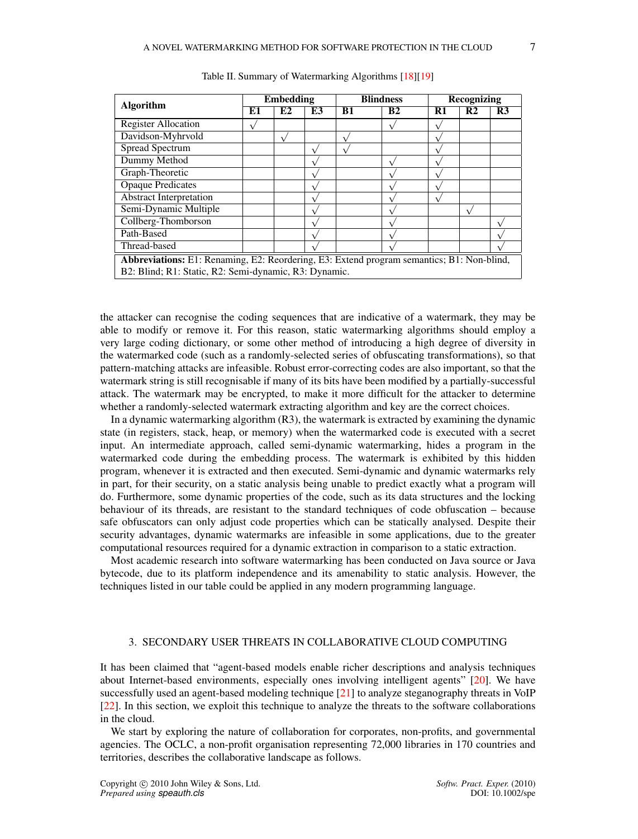|                                                                                           | <b>Embedding</b> |    |    | <b>Blindness</b> |           | Recognizing |                |    |
|-------------------------------------------------------------------------------------------|------------------|----|----|------------------|-----------|-------------|----------------|----|
| <b>Algorithm</b>                                                                          | E1               | E2 | E3 | B1               | <b>B2</b> | R1          | R <sub>2</sub> | R3 |
| <b>Register Allocation</b>                                                                |                  |    |    |                  |           |             |                |    |
| Davidson-Myhrvold                                                                         |                  |    |    |                  |           |             |                |    |
| Spread Spectrum                                                                           |                  |    |    |                  |           |             |                |    |
| Dummy Method                                                                              |                  |    |    |                  |           |             |                |    |
| Graph-Theoretic                                                                           |                  |    |    |                  |           |             |                |    |
| Opaque Predicates                                                                         |                  |    |    |                  |           |             |                |    |
| <b>Abstract Interpretation</b>                                                            |                  |    |    |                  |           |             |                |    |
| Semi-Dynamic Multiple                                                                     |                  |    |    |                  |           |             |                |    |
| Collberg-Thomborson                                                                       |                  |    |    |                  |           |             |                |    |
| Path-Based                                                                                |                  |    |    |                  |           |             |                |    |
| Thread-based                                                                              |                  |    |    |                  |           |             |                |    |
| Abbreviations: E1: Renaming, E2: Reordering, E3: Extend program semantics; B1: Non-blind, |                  |    |    |                  |           |             |                |    |
| B2: Blind; R1: Static, R2: Semi-dynamic, R3: Dynamic.                                     |                  |    |    |                  |           |             |                |    |

Table II. Summary of Watermarking Algorithms [18][19]

the attacker can recognise the coding sequences that are indicative of a watermark, they may be able to modify or remove it. For this reason, static watermarking algorithms should employ a very large coding dictionary, or some other method of introducing a high degree of diversity in the watermarked code (such as a randomly-selected series of obfuscating transformations), so that pattern-matching attacks are infeasible. Robust error-correcting codes are also important, so that the watermark string is still recognisable if many of its bits have been modified by a partially-successful attack. The watermark may be encrypted, to make it more difficult for the attacker to determine whether a randomly-selected watermark extracting algorithm and key are the correct choices.

In a dynamic watermarking algorithm (R3), the watermark is extracted by examining the dynamic state (in registers, stack, heap, or memory) when the watermarked code is executed with a secret input. An intermediate approach, called semi-dynamic watermarking, hides a program in the watermarked code during the embedding process. The watermark is exhibited by this hidden program, whenever it is extracted and then executed. Semi-dynamic and dynamic watermarks rely in part, for their security, on a static analysis being unable to predict exactly what a program will do. Furthermore, some dynamic properties of the code, such as its data structures and the locking behaviour of its threads, are resistant to the standard techniques of code obfuscation – because safe obfuscators can only adjust code properties which can be statically analysed. Despite their security advantages, dynamic watermarks are infeasible in some applications, due to the greater computational resources required for a dynamic extraction in comparison to a static extraction.

Most academic research into software watermarking has been conducted on Java source or Java bytecode, due to its platform independence and its amenability to static analysis. However, the techniques listed in our table could be applied in any modern programming language.

## 3. SECONDARY USER THREATS IN COLLABORATIVE CLOUD COMPUTING

It has been claimed that "agent-based models enable richer descriptions and analysis techniques about Internet-based environments, especially ones involving intelligent agents" [20]. We have successfully used an agent-based modeling technique [21] to analyze steganography threats in VoIP [22]. In this section, we exploit this technique to analyze the threats to the software collaborations in the cloud.

We start by exploring the nature of collaboration for corporates, non-profits, and governmental agencies. The OCLC, a non-profit organisation representing 72,000 libraries in 170 countries and territories, describes the collaborative landscape as follows.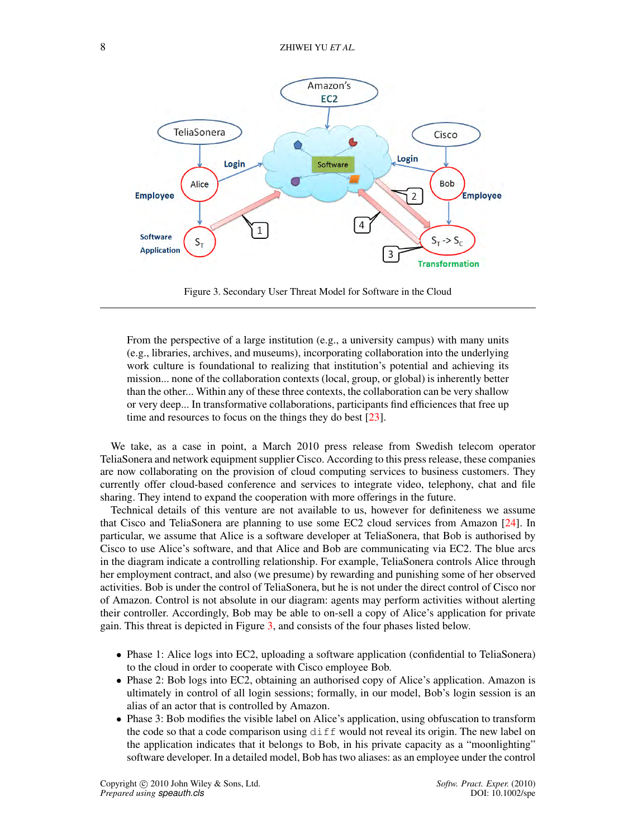

Figure 3. Secondary User Threat Model for Software in the Cloud

From the perspective of a large institution (e.g., a university campus) with many units (e.g., libraries, archives, and museums), incorporating collaboration into the underlying work culture is foundational to realizing that institution's potential and achieving its mission... none of the collaboration contexts (local, group, or global) is inherently better than the other... Within any of these three contexts, the collaboration can be very shallow or very deep... In transformative collaborations, participants find efficiences that free up time and resources to focus on the things they do best [23].

We take, as a case in point, a March 2010 press release from Swedish telecom operator TeliaSonera and network equipment supplier Cisco. According to this press release, these companies are now collaborating on the provision of cloud computing services to business customers. They currently offer cloud-based conference and services to integrate video, telephony, chat and file sharing. They intend to expand the cooperation with more offerings in the future.

Technical details of this venture are not available to us, however for definiteness we assume that Cisco and TeliaSonera are planning to use some EC2 cloud services from Amazon [24]. In particular, we assume that Alice is a software developer at TeliaSonera, that Bob is authorised by Cisco to use Alice's software, and that Alice and Bob are communicating via EC2. The blue arcs in the diagram indicate a controlling relationship. For example, TeliaSonera controls Alice through her employment contract, and also (we presume) by rewarding and punishing some of her observed activities. Bob is under the control of TeliaSonera, but he is not under the direct control of Cisco nor of Amazon. Control is not absolute in our diagram: agents may perform activities without alerting their controller. Accordingly, Bob may be able to on-sell a copy of Alice's application for private gain. This threat is depicted in Figure 3, and consists of the four phases listed below.

- Phase 1: Alice logs into EC2, uploading a software application (confidential to TeliaSonera) to the cloud in order to cooperate with Cisco employee Bob.
- Phase 2: Bob logs into EC2, obtaining an authorised copy of Alice's application. Amazon is ultimately in control of all login sessions; formally, in our model, Bob's login session is an alias of an actor that is controlled by Amazon.
- Phase 3: Bob modifies the visible label on Alice's application, using obfuscation to transform the code so that a code comparison using  $\text{diff}$  would not reveal its origin. The new label on the application indicates that it belongs to Bob, in his private capacity as a "moonlighting" software developer. In a detailed model, Bob has two aliases: as an employee under the control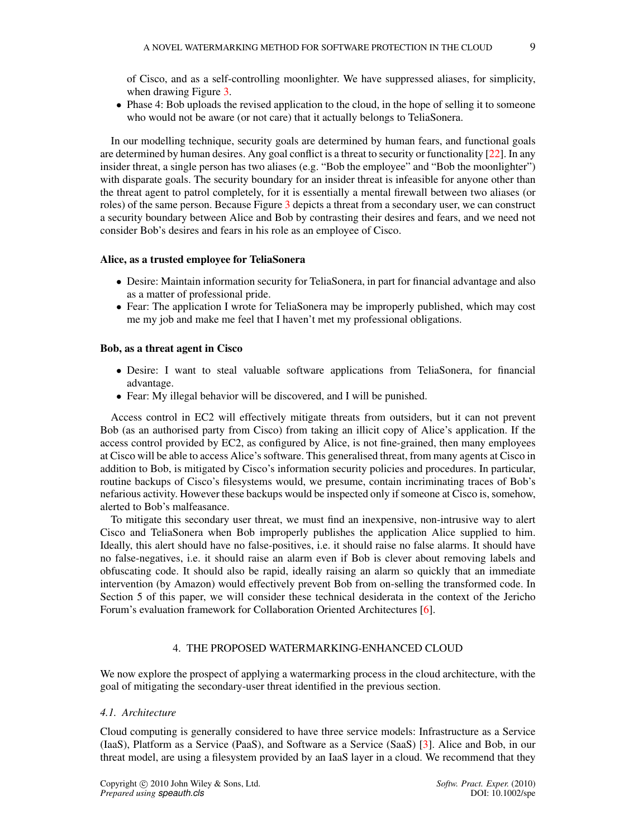of Cisco, and as a self-controlling moonlighter. We have suppressed aliases, for simplicity, when drawing Figure 3.

• Phase 4: Bob uploads the revised application to the cloud, in the hope of selling it to someone who would not be aware (or not care) that it actually belongs to TeliaSonera.

In our modelling technique, security goals are determined by human fears, and functional goals are determined by human desires. Any goal conflict is a threat to security or functionality [22]. In any insider threat, a single person has two aliases (e.g. "Bob the employee" and "Bob the moonlighter") with disparate goals. The security boundary for an insider threat is infeasible for anyone other than the threat agent to patrol completely, for it is essentially a mental firewall between two aliases (or roles) of the same person. Because Figure 3 depicts a threat from a secondary user, we can construct a security boundary between Alice and Bob by contrasting their desires and fears, and we need not consider Bob's desires and fears in his role as an employee of Cisco.

## Alice, as a trusted employee for TeliaSonera

- Desire: Maintain information security for TeliaSonera, in part for financial advantage and also as a matter of professional pride.
- Fear: The application I wrote for TeliaSonera may be improperly published, which may cost me my job and make me feel that I haven't met my professional obligations.

## Bob, as a threat agent in Cisco

- *•* Desire: I want to steal valuable software applications from TeliaSonera, for financial advantage.
- *•* Fear: My illegal behavior will be discovered, and I will be punished.

Access control in EC2 will effectively mitigate threats from outsiders, but it can not prevent Bob (as an authorised party from Cisco) from taking an illicit copy of Alice's application. If the access control provided by EC2, as configured by Alice, is not fine-grained, then many employees at Cisco will be able to access Alice's software. This generalised threat, from many agents at Cisco in addition to Bob, is mitigated by Cisco's information security policies and procedures. In particular, routine backups of Cisco's filesystems would, we presume, contain incriminating traces of Bob's nefarious activity. However these backups would be inspected only if someone at Cisco is, somehow, alerted to Bob's malfeasance.

To mitigate this secondary user threat, we must find an inexpensive, non-intrusive way to alert Cisco and TeliaSonera when Bob improperly publishes the application Alice supplied to him. Ideally, this alert should have no false-positives, i.e. it should raise no false alarms. It should have no false-negatives, i.e. it should raise an alarm even if Bob is clever about removing labels and obfuscating code. It should also be rapid, ideally raising an alarm so quickly that an immediate intervention (by Amazon) would effectively prevent Bob from on-selling the transformed code. In Section 5 of this paper, we will consider these technical desiderata in the context of the Jericho Forum's evaluation framework for Collaboration Oriented Architectures [6].

#### 4. THE PROPOSED WATERMARKING-ENHANCED CLOUD

We now explore the prospect of applying a watermarking process in the cloud architecture, with the goal of mitigating the secondary-user threat identified in the previous section.

#### *4.1. Architecture*

Cloud computing is generally considered to have three service models: Infrastructure as a Service (IaaS), Platform as a Service (PaaS), and Software as a Service (SaaS) [3]. Alice and Bob, in our threat model, are using a filesystem provided by an IaaS layer in a cloud. We recommend that they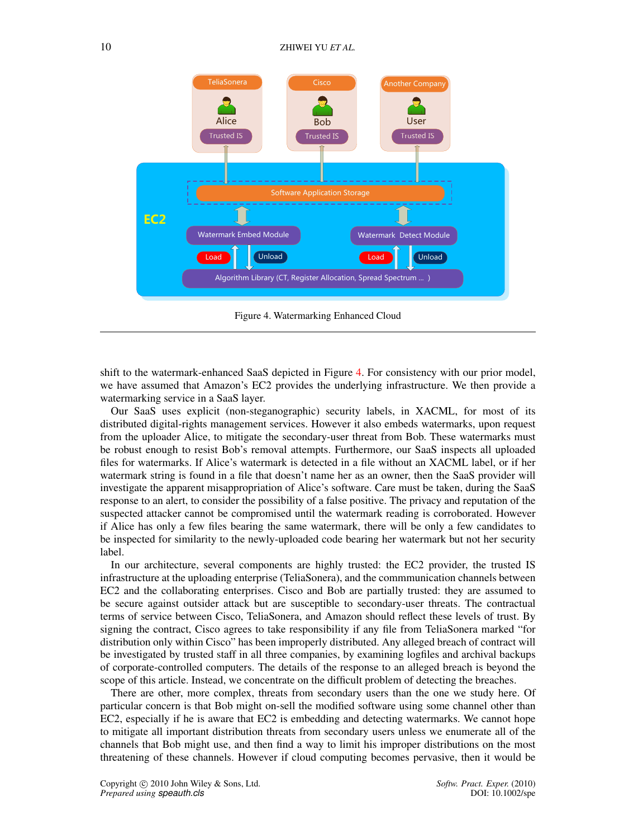

Figure 4. Watermarking Enhanced Cloud

shift to the watermark-enhanced SaaS depicted in Figure 4. For consistency with our prior model, we have assumed that Amazon's EC2 provides the underlying infrastructure. We then provide a watermarking service in a SaaS layer.

Our SaaS uses explicit (non-steganographic) security labels, in XACML, for most of its distributed digital-rights management services. However it also embeds watermarks, upon request from the uploader Alice, to mitigate the secondary-user threat from Bob. These watermarks must be robust enough to resist Bob's removal attempts. Furthermore, our SaaS inspects all uploaded files for watermarks. If Alice's watermark is detected in a file without an XACML label, or if her watermark string is found in a file that doesn't name her as an owner, then the SaaS provider will investigate the apparent misappropriation of Alice's software. Care must be taken, during the SaaS response to an alert, to consider the possibility of a false positive. The privacy and reputation of the suspected attacker cannot be compromised until the watermark reading is corroborated. However if Alice has only a few files bearing the same watermark, there will be only a few candidates to be inspected for similarity to the newly-uploaded code bearing her watermark but not her security label.

In our architecture, several components are highly trusted: the EC2 provider, the trusted IS infrastructure at the uploading enterprise (TeliaSonera), and the commmunication channels between EC2 and the collaborating enterprises. Cisco and Bob are partially trusted: they are assumed to be secure against outsider attack but are susceptible to secondary-user threats. The contractual terms of service between Cisco, TeliaSonera, and Amazon should reflect these levels of trust. By signing the contract, Cisco agrees to take responsibility if any file from TeliaSonera marked "for distribution only within Cisco" has been improperly distributed. Any alleged breach of contract will be investigated by trusted staff in all three companies, by examining logfiles and archival backups of corporate-controlled computers. The details of the response to an alleged breach is beyond the scope of this article. Instead, we concentrate on the difficult problem of detecting the breaches.

There are other, more complex, threats from secondary users than the one we study here. Of particular concern is that Bob might on-sell the modified software using some channel other than EC2, especially if he is aware that EC2 is embedding and detecting watermarks. We cannot hope to mitigate all important distribution threats from secondary users unless we enumerate all of the channels that Bob might use, and then find a way to limit his improper distributions on the most threatening of these channels. However if cloud computing becomes pervasive, then it would be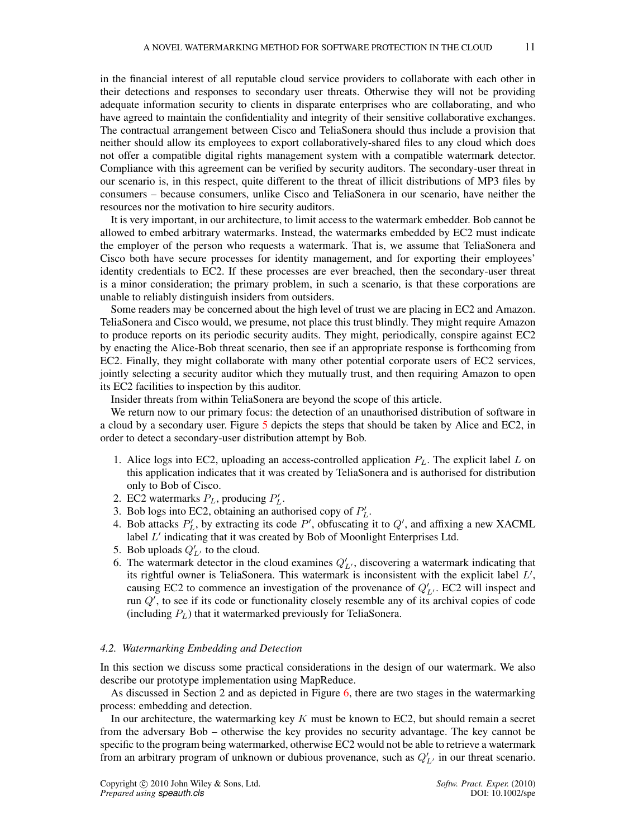in the financial interest of all reputable cloud service providers to collaborate with each other in their detections and responses to secondary user threats. Otherwise they will not be providing adequate information security to clients in disparate enterprises who are collaborating, and who have agreed to maintain the confidentiality and integrity of their sensitive collaborative exchanges. The contractual arrangement between Cisco and TeliaSonera should thus include a provision that neither should allow its employees to export collaboratively-shared files to any cloud which does not offer a compatible digital rights management system with a compatible watermark detector. Compliance with this agreement can be verified by security auditors. The secondary-user threat in our scenario is, in this respect, quite different to the threat of illicit distributions of MP3 files by consumers – because consumers, unlike Cisco and TeliaSonera in our scenario, have neither the resources nor the motivation to hire security auditors.

It is very important, in our architecture, to limit access to the watermark embedder. Bob cannot be allowed to embed arbitrary watermarks. Instead, the watermarks embedded by EC2 must indicate the employer of the person who requests a watermark. That is, we assume that TeliaSonera and Cisco both have secure processes for identity management, and for exporting their employees' identity credentials to EC2. If these processes are ever breached, then the secondary-user threat is a minor consideration; the primary problem, in such a scenario, is that these corporations are unable to reliably distinguish insiders from outsiders.

Some readers may be concerned about the high level of trust we are placing in EC2 and Amazon. TeliaSonera and Cisco would, we presume, not place this trust blindly. They might require Amazon to produce reports on its periodic security audits. They might, periodically, conspire against EC2 by enacting the Alice-Bob threat scenario, then see if an appropriate response is forthcoming from EC2. Finally, they might collaborate with many other potential corporate users of EC2 services, jointly selecting a security auditor which they mutually trust, and then requiring Amazon to open its EC2 facilities to inspection by this auditor.

Insider threats from within TeliaSonera are beyond the scope of this article.

We return now to our primary focus: the detection of an unauthorised distribution of software in a cloud by a secondary user. Figure 5 depicts the steps that should be taken by Alice and EC2, in order to detect a secondary-user distribution attempt by Bob.

- 1. Alice logs into EC2, uploading an access-controlled application *PL*. The explicit label *L* on this application indicates that it was created by TeliaSonera and is authorised for distribution only to Bob of Cisco.
- 2. EC2 watermarks  $P_L$ , producing  $P'_L$ .
- 3. Bob logs into EC2, obtaining an authorised copy of  $P'_{L}$ .
- 4. Bob attacks  $P'_{L}$ , by extracting its code  $P'$ , obfuscating it to  $Q'$ , and affixing a new XACML label *L ′* indicating that it was created by Bob of Moonlight Enterprises Ltd.
- 5. Bob uploads  $Q'_{L'}$  to the cloud.
- 6. The watermark detector in the cloud examines  $Q'_{L'}$ , discovering a watermark indicating that its rightful owner is TeliaSonera. This watermark is inconsistent with the explicit label *L ′* , causing EC2 to commence an investigation of the provenance of *Q′ <sup>L</sup>′* . EC2 will inspect and run *Q′* , to see if its code or functionality closely resemble any of its archival copies of code (including *PL*) that it watermarked previously for TeliaSonera.

#### *4.2. Watermarking Embedding and Detection*

In this section we discuss some practical considerations in the design of our watermark. We also describe our prototype implementation using MapReduce.

As discussed in Section 2 and as depicted in Figure 6, there are two stages in the watermarking process: embedding and detection.

In our architecture, the watermarking key *K* must be known to EC2, but should remain a secret from the adversary Bob – otherwise the key provides no security advantage. The key cannot be specific to the program being watermarked, otherwise EC2 would not be able to retrieve a watermark from an arbitrary program of unknown or dubious provenance, such as *Q′ <sup>L</sup>′* in our threat scenario.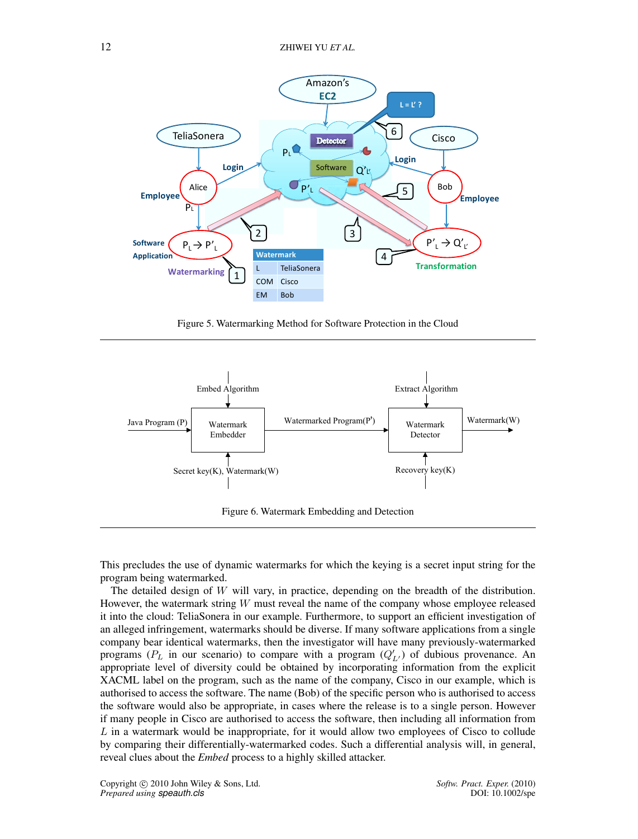

Figure 5. Watermarking Method for Software Protection in the Cloud



Figure 6. Watermark Embedding and Detection

This precludes the use of dynamic watermarks for which the keying is a secret input string for the program being watermarked.

The detailed design of *W* will vary, in practice, depending on the breadth of the distribution. However, the watermark string *W* must reveal the name of the company whose employee released it into the cloud: TeliaSonera in our example. Furthermore, to support an efficient investigation of an alleged infringement, watermarks should be diverse. If many software applications from a single company bear identical watermarks, then the investigator will have many previously-watermarked programs ( $P_L$  in our scenario) to compare with a program ( $Q'_{L'}$ ) of dubious provenance. An appropriate level of diversity could be obtained by incorporating information from the explicit XACML label on the program, such as the name of the company, Cisco in our example, which is authorised to access the software. The name (Bob) of the specific person who is authorised to access the software would also be appropriate, in cases where the release is to a single person. However if many people in Cisco are authorised to access the software, then including all information from *L* in a watermark would be inappropriate, for it would allow two employees of Cisco to collude by comparing their differentially-watermarked codes. Such a differential analysis will, in general, reveal clues about the *Embed* process to a highly skilled attacker.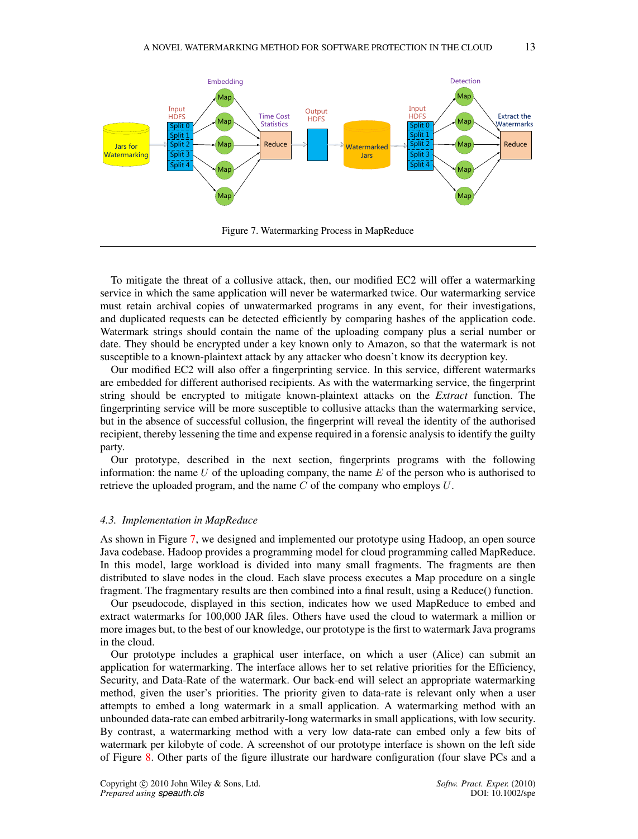

To mitigate the threat of a collusive attack, then, our modified EC2 will offer a watermarking service in which the same application will never be watermarked twice. Our watermarking service must retain archival copies of unwatermarked programs in any event, for their investigations, and duplicated requests can be detected efficiently by comparing hashes of the application code. Watermark strings should contain the name of the uploading company plus a serial number or date. They should be encrypted under a key known only to Amazon, so that the watermark is not susceptible to a known-plaintext attack by any attacker who doesn't know its decryption key.

Our modified EC2 will also offer a fingerprinting service. In this service, different watermarks are embedded for different authorised recipients. As with the watermarking service, the fingerprint string should be encrypted to mitigate known-plaintext attacks on the *Extract* function. The fingerprinting service will be more susceptible to collusive attacks than the watermarking service, but in the absence of successful collusion, the fingerprint will reveal the identity of the authorised recipient, thereby lessening the time and expense required in a forensic analysis to identify the guilty party.

Our prototype, described in the next section, fingerprints programs with the following information: the name *U* of the uploading company, the name *E* of the person who is authorised to retrieve the uploaded program, and the name *C* of the company who employs *U*.

## *4.3. Implementation in MapReduce*

As shown in Figure 7, we designed and implemented our prototype using Hadoop, an open source Java codebase. Hadoop provides a programming model for cloud programming called MapReduce. In this model, large workload is divided into many small fragments. The fragments are then distributed to slave nodes in the cloud. Each slave process executes a Map procedure on a single fragment. The fragmentary results are then combined into a final result, using a Reduce() function.

Our pseudocode, displayed in this section, indicates how we used MapReduce to embed and extract watermarks for 100,000 JAR files. Others have used the cloud to watermark a million or more images but, to the best of our knowledge, our prototype is the first to watermark Java programs in the cloud.

Our prototype includes a graphical user interface, on which a user (Alice) can submit an application for watermarking. The interface allows her to set relative priorities for the Efficiency, Security, and Data-Rate of the watermark. Our back-end will select an appropriate watermarking method, given the user's priorities. The priority given to data-rate is relevant only when a user attempts to embed a long watermark in a small application. A watermarking method with an unbounded data-rate can embed arbitrarily-long watermarks in small applications, with low security. By contrast, a watermarking method with a very low data-rate can embed only a few bits of watermark per kilobyte of code. A screenshot of our prototype interface is shown on the left side of Figure 8. Other parts of the figure illustrate our hardware configuration (four slave PCs and a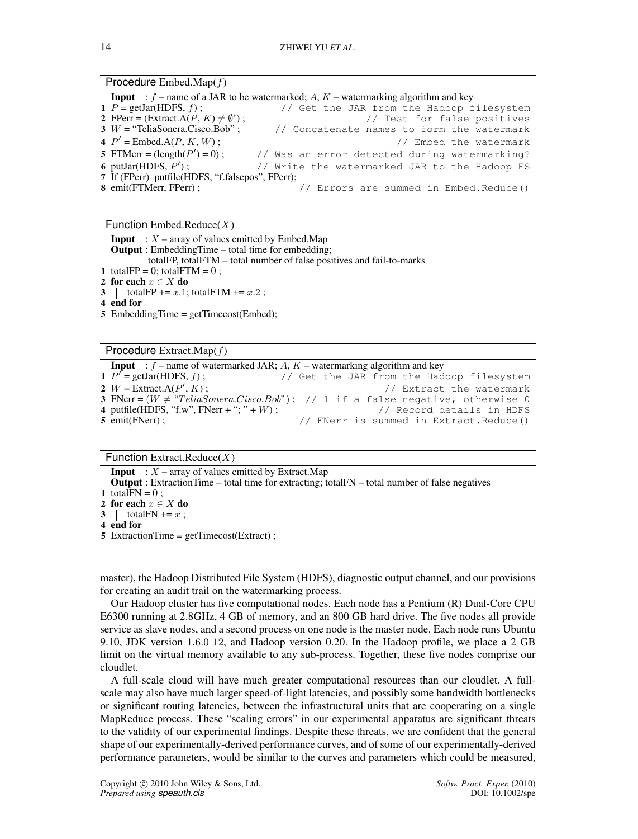| <b>Input</b> : $f$ – name of a JAR to be watermarked; A, $K$ – watermarking algorithm and key |                                                                                                                                                                                                    |  |  |  |  |  |
|-----------------------------------------------------------------------------------------------|----------------------------------------------------------------------------------------------------------------------------------------------------------------------------------------------------|--|--|--|--|--|
| 1 $P = \text{getJar}(HDFS, f)$ ;                                                              | // Get the JAR from the Hadoop filesystem                                                                                                                                                          |  |  |  |  |  |
|                                                                                               | // Test for false positives                                                                                                                                                                        |  |  |  |  |  |
|                                                                                               | // Concatenate names to form the watermark                                                                                                                                                         |  |  |  |  |  |
| 4 $P'$ = Embed.A(P, K, W);                                                                    | // Embed the watermark                                                                                                                                                                             |  |  |  |  |  |
| 5 FTMerr = $(\text{length}(P') = 0)$ ;                                                        | // Was an error detected during watermarking?                                                                                                                                                      |  |  |  |  |  |
|                                                                                               | // Write the watermarked JAR to the Hadoop FS                                                                                                                                                      |  |  |  |  |  |
|                                                                                               |                                                                                                                                                                                                    |  |  |  |  |  |
| 8 emit(FTMerr, FPerr);                                                                        | // Errors are summed in Embed.Reduce()                                                                                                                                                             |  |  |  |  |  |
|                                                                                               | Procedure $embea.map(T)$<br>2 FPerr = (Extract.A( $P, K$ ) $\neq \emptyset$ ');<br>$3$ W = "TeliaSonera.Cisco.Bob";<br>6 putJar(HDFS, $P'$ );<br>7 If (FPerr) putfile (HDFS, "f.falsepos", FPerr); |  |  |  |  |  |

#### Function Embed.Reduce(*X*)

 $P_{meas}$ d.ma $\overline{P}$ , 1, 134,  $\angle$ *f*)

**Input** :  $X$  – array of values emitted by Embed.Map Output : EmbeddingTime – total time for embedding; totalFP, totalFTM – total number of false positives and fail-to-marks 1 totalFP = 0; totalFTM =  $0$  ; 2 for each  $x \in X$  do 3  $\downarrow$  totalFP += *x*.1; totalFTM += *x*.2; 4 end for 5 EmbeddingTime = getTimecost(Embed);

Procedure Extract.Map(*f*)

**Input** :  $f$  – name of watermarked JAR;  $A$ ,  $K$  – watermarking algorithm and key 1  $P'$  = getJar(HDFS, f); // Get the JAR from the Hadoop filesystem 2 *W* = Extract.A(*P ′* // Extract the watermark 3 FNerr =  $(W \neq "Telia Sonera.Cisco.Bob")$ ; // 1 if a false negative, otherwise 0<br>4 putfile(HDFS, "f.w", FNerr + ";" + W); // Record details in HDFS 4 putfile(HDFS, "f.w", FNerr + "; " +  $W$ ); 5 emit(FNerr) ; // FNerr is summed in Extract.Reduce()

Function Extract.Reduce(*X*)

**Input** :  $X$  – array of values emitted by Extract.Map Output : ExtractionTime – total time for extracting; totalFN – total number of false negatives 1 totalFN =  $0$  : 2 for each  $x \in X$  do  $3$  | totalFN +=  $x$ ; 4 end for 5 ExtractionTime = getTimecost(Extract) ;

master), the Hadoop Distributed File System (HDFS), diagnostic output channel, and our provisions for creating an audit trail on the watermarking process.

Our Hadoop cluster has five computational nodes. Each node has a Pentium (R) Dual-Core CPU E6300 running at 2.8GHz, 4 GB of memory, and an 800 GB hard drive. The five nodes all provide service as slave nodes, and a second process on one node is the master node. Each node runs Ubuntu 9.10, JDK version 1*.*6*.*0 12, and Hadoop version 0.20. In the Hadoop profile, we place a 2 GB limit on the virtual memory available to any sub-process. Together, these five nodes comprise our cloudlet.

A full-scale cloud will have much greater computational resources than our cloudlet. A fullscale may also have much larger speed-of-light latencies, and possibly some bandwidth bottlenecks or significant routing latencies, between the infrastructural units that are cooperating on a single MapReduce process. These "scaling errors" in our experimental apparatus are significant threats to the validity of our experimental findings. Despite these threats, we are confident that the general shape of our experimentally-derived performance curves, and of some of our experimentally-derived performance parameters, would be similar to the curves and parameters which could be measured,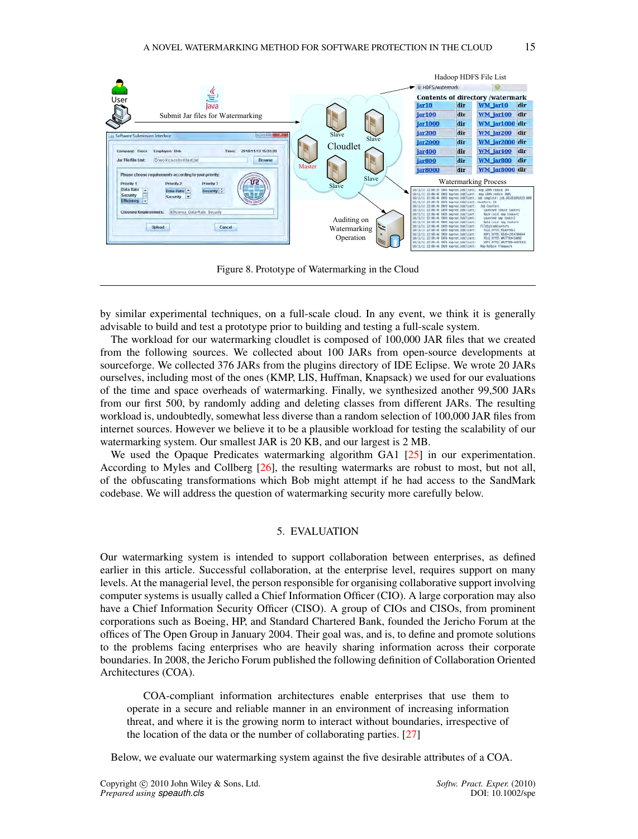

Figure 8. Prototype of Watermarking in the Cloud

by similar experimental techniques, on a full-scale cloud. In any event, we think it is generally advisable to build and test a prototype prior to building and testing a full-scale system.

The workload for our watermarking cloudlet is composed of 100,000 JAR files that we created from the following sources. We collected about 100 JARs from open-source developments at sourceforge. We collected 376 JARs from the plugins directory of IDE Eclipse. We wrote 20 JARs ourselves, including most of the ones (KMP, LIS, Huffman, Knapsack) we used for our evaluations of the time and space overheads of watermarking. Finally, we synthesized another 99,500 JARs from our first 500, by randomly adding and deleting classes from different JARs. The resulting workload is, undoubtedly, somewhat less diverse than a random selection of 100,000 JAR files from internet sources. However we believe it to be a plausible workload for testing the scalability of our watermarking system. Our smallest JAR is 20 KB, and our largest is 2 MB.

We used the Opaque Predicates watermarking algorithm GA1 [25] in our experimentation. According to Myles and Collberg [26], the resulting watermarks are robust to most, but not all, of the obfuscating transformations which Bob might attempt if he had access to the SandMark codebase. We will address the question of watermarking security more carefully below.

## 5. EVALUATION

Our watermarking system is intended to support collaboration between enterprises, as defined earlier in this article. Successful collaboration, at the enterprise level, requires support on many levels. At the managerial level, the person responsible for organising collaborative support involving computer systems is usually called a Chief Information Officer (CIO). A large corporation may also have a Chief Information Security Officer (CISO). A group of CIOs and CISOs, from prominent corporations such as Boeing, HP, and Standard Chartered Bank, founded the Jericho Forum at the offices of The Open Group in January 2004. Their goal was, and is, to define and promote solutions to the problems facing enterprises who are heavily sharing information across their corporate boundaries. In 2008, the Jericho Forum published the following definition of Collaboration Oriented Architectures (COA).

COA-compliant information architectures enable enterprises that use them to operate in a secure and reliable manner in an environment of increasing information threat, and where it is the growing norm to interact without boundaries, irrespective of the location of the data or the number of collaborating parties. [27]

Below, we evaluate our watermarking system against the five desirable attributes of a COA.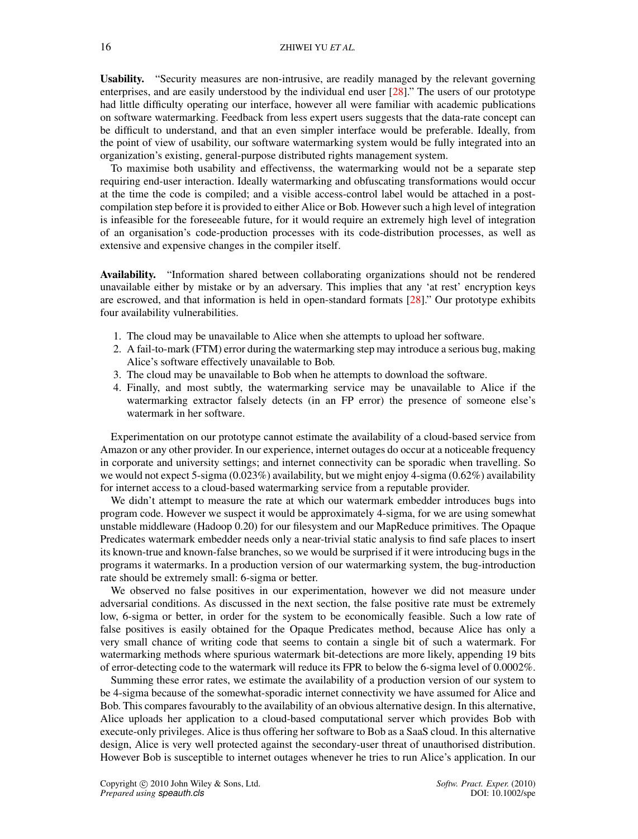Usability. "Security measures are non-intrusive, are readily managed by the relevant governing enterprises, and are easily understood by the individual end user  $[28]$ ." The users of our prototype had little difficulty operating our interface, however all were familiar with academic publications on software watermarking. Feedback from less expert users suggests that the data-rate concept can be difficult to understand, and that an even simpler interface would be preferable. Ideally, from the point of view of usability, our software watermarking system would be fully integrated into an organization's existing, general-purpose distributed rights management system.

To maximise both usability and effectivenss, the watermarking would not be a separate step requiring end-user interaction. Ideally watermarking and obfuscating transformations would occur at the time the code is compiled; and a visible access-control label would be attached in a postcompilation step before it is provided to either Alice or Bob. However such a high level of integration is infeasible for the foreseeable future, for it would require an extremely high level of integration of an organisation's code-production processes with its code-distribution processes, as well as extensive and expensive changes in the compiler itself.

Availability. "Information shared between collaborating organizations should not be rendered unavailable either by mistake or by an adversary. This implies that any 'at rest' encryption keys are escrowed, and that information is held in open-standard formats [28]." Our prototype exhibits four availability vulnerabilities.

- 1. The cloud may be unavailable to Alice when she attempts to upload her software.
- 2. A fail-to-mark (FTM) error during the watermarking step may introduce a serious bug, making Alice's software effectively unavailable to Bob.
- 3. The cloud may be unavailable to Bob when he attempts to download the software.
- 4. Finally, and most subtly, the watermarking service may be unavailable to Alice if the watermarking extractor falsely detects (in an FP error) the presence of someone else's watermark in her software.

Experimentation on our prototype cannot estimate the availability of a cloud-based service from Amazon or any other provider. In our experience, internet outages do occur at a noticeable frequency in corporate and university settings; and internet connectivity can be sporadic when travelling. So we would not expect 5-sigma (0.023%) availability, but we might enjoy 4-sigma (0.62%) availability for internet access to a cloud-based watermarking service from a reputable provider.

We didn't attempt to measure the rate at which our watermark embedder introduces bugs into program code. However we suspect it would be approximately 4-sigma, for we are using somewhat unstable middleware (Hadoop 0.20) for our filesystem and our MapReduce primitives. The Opaque Predicates watermark embedder needs only a near-trivial static analysis to find safe places to insert its known-true and known-false branches, so we would be surprised if it were introducing bugs in the programs it watermarks. In a production version of our watermarking system, the bug-introduction rate should be extremely small: 6-sigma or better.

We observed no false positives in our experimentation, however we did not measure under adversarial conditions. As discussed in the next section, the false positive rate must be extremely low, 6-sigma or better, in order for the system to be economically feasible. Such a low rate of false positives is easily obtained for the Opaque Predicates method, because Alice has only a very small chance of writing code that seems to contain a single bit of such a watermark. For watermarking methods where spurious watermark bit-detections are more likely, appending 19 bits of error-detecting code to the watermark will reduce its FPR to below the 6-sigma level of 0.0002%.

Summing these error rates, we estimate the availability of a production version of our system to be 4-sigma because of the somewhat-sporadic internet connectivity we have assumed for Alice and Bob. This compares favourably to the availability of an obvious alternative design. In this alternative, Alice uploads her application to a cloud-based computational server which provides Bob with execute-only privileges. Alice is thus offering her software to Bob as a SaaS cloud. In this alternative design, Alice is very well protected against the secondary-user threat of unauthorised distribution. However Bob is susceptible to internet outages whenever he tries to run Alice's application. In our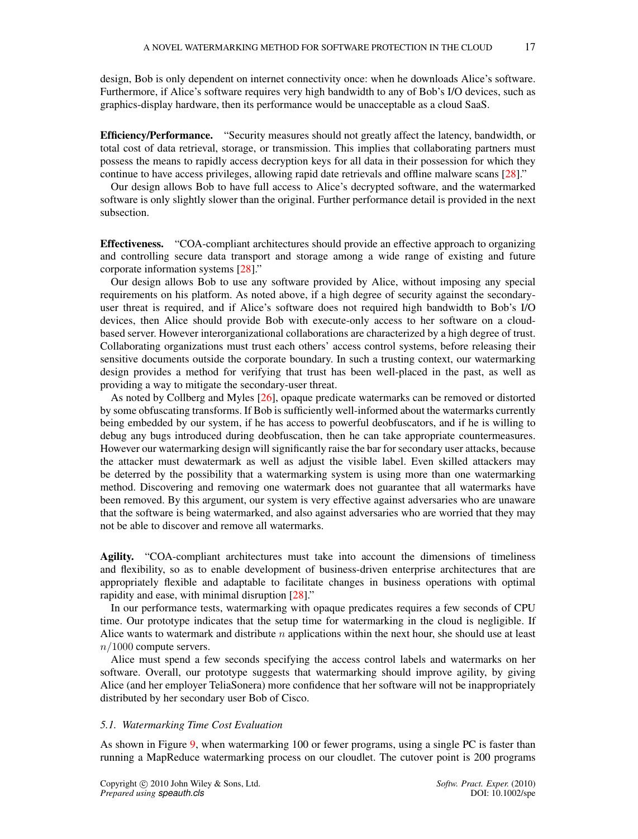design, Bob is only dependent on internet connectivity once: when he downloads Alice's software. Furthermore, if Alice's software requires very high bandwidth to any of Bob's I/O devices, such as graphics-display hardware, then its performance would be unacceptable as a cloud SaaS.

Efficiency/Performance. "Security measures should not greatly affect the latency, bandwidth, or total cost of data retrieval, storage, or transmission. This implies that collaborating partners must possess the means to rapidly access decryption keys for all data in their possession for which they continue to have access privileges, allowing rapid date retrievals and offline malware scans [28]."

Our design allows Bob to have full access to Alice's decrypted software, and the watermarked software is only slightly slower than the original. Further performance detail is provided in the next subsection.

Effectiveness. "COA-compliant architectures should provide an effective approach to organizing and controlling secure data transport and storage among a wide range of existing and future corporate information systems [28]."

Our design allows Bob to use any software provided by Alice, without imposing any special requirements on his platform. As noted above, if a high degree of security against the secondaryuser threat is required, and if Alice's software does not required high bandwidth to Bob's I/O devices, then Alice should provide Bob with execute-only access to her software on a cloudbased server. However interorganizational collaborations are characterized by a high degree of trust. Collaborating organizations must trust each others' access control systems, before releasing their sensitive documents outside the corporate boundary. In such a trusting context, our watermarking design provides a method for verifying that trust has been well-placed in the past, as well as providing a way to mitigate the secondary-user threat.

As noted by Collberg and Myles [26], opaque predicate watermarks can be removed or distorted by some obfuscating transforms. If Bob is sufficiently well-informed about the watermarks currently being embedded by our system, if he has access to powerful deobfuscators, and if he is willing to debug any bugs introduced during deobfuscation, then he can take appropriate countermeasures. However our watermarking design will significantly raise the bar for secondary user attacks, because the attacker must dewatermark as well as adjust the visible label. Even skilled attackers may be deterred by the possibility that a watermarking system is using more than one watermarking method. Discovering and removing one watermark does not guarantee that all watermarks have been removed. By this argument, our system is very effective against adversaries who are unaware that the software is being watermarked, and also against adversaries who are worried that they may not be able to discover and remove all watermarks.

Agility. "COA-compliant architectures must take into account the dimensions of timeliness and flexibility, so as to enable development of business-driven enterprise architectures that are appropriately flexible and adaptable to facilitate changes in business operations with optimal rapidity and ease, with minimal disruption [28]."

In our performance tests, watermarking with opaque predicates requires a few seconds of CPU time. Our prototype indicates that the setup time for watermarking in the cloud is negligible. If Alice wants to watermark and distribute *n* applications within the next hour, she should use at least *n/*1000 compute servers.

Alice must spend a few seconds specifying the access control labels and watermarks on her software. Overall, our prototype suggests that watermarking should improve agility, by giving Alice (and her employer TeliaSonera) more confidence that her software will not be inappropriately distributed by her secondary user Bob of Cisco.

## *5.1. Watermarking Time Cost Evaluation*

As shown in Figure 9, when watermarking 100 or fewer programs, using a single PC is faster than running a MapReduce watermarking process on our cloudlet. The cutover point is 200 programs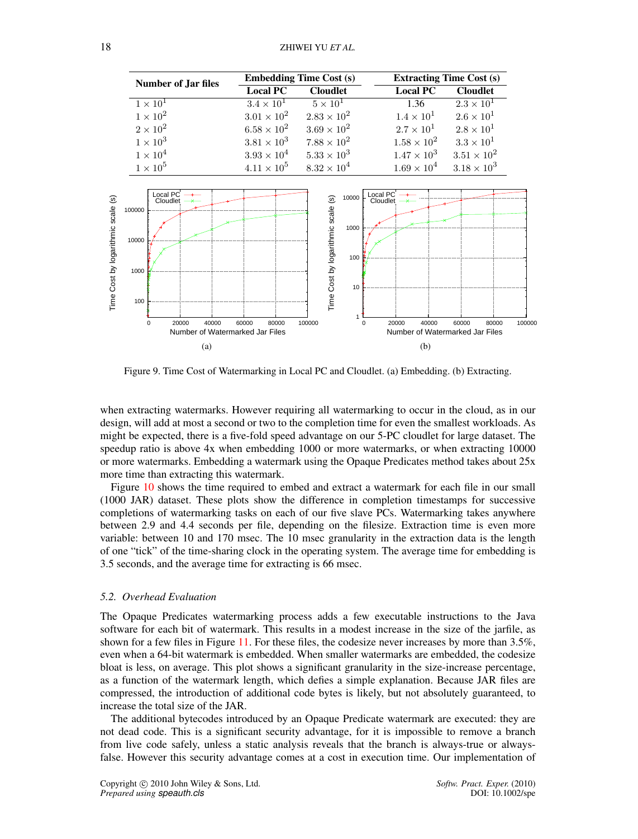| <b>Number of Jar files</b> |                      | <b>Embedding Time Cost (s)</b> | <b>Extracting Time Cost (s)</b> |                      |  |
|----------------------------|----------------------|--------------------------------|---------------------------------|----------------------|--|
|                            | <b>Local PC</b>      | <b>Cloudlet</b>                | <b>Local PC</b>                 | <b>Cloudlet</b>      |  |
| $1 \times 10^{1}$          | $3.4 \times 10^1$    | $5 \times 10^{1}$              | 1.36                            | $2.3 \times 10^{1}$  |  |
| $1 \times 10^2$            | $3.01 \times 10^{2}$ | $2.83 \times 10^{2}$           | $1.4 \times 10^{1}$             | $2.6 \times 10^1$    |  |
| $2\times10^2$              | $6.58 \times 10^{2}$ | $3.69 \times 10^{2}$           | $2.7 \times 10^{1}$             | $2.8 \times 10^{1}$  |  |
| $1 \times 10^3$            | $3.81 \times 10^{3}$ | $7.88 \times 10^{2}$           | $1.58 \times 10^{2}$            | $3.3 \times 10^1$    |  |
| $1 \times 10^4$            | $3.93 \times 10^{4}$ | $5.33 \times 10^{3}$           | $1.47 \times 10^{3}$            | $3.51 \times 10^{2}$ |  |
| $1 \times 10^5$            | $4.11 \times 10^5$   | $8.32 \times 10^{4}$           | $1.69 \times 10^{4}$            | $3.18 \times 10^{3}$ |  |



Figure 9. Time Cost of Watermarking in Local PC and Cloudlet. (a) Embedding. (b) Extracting.

when extracting watermarks. However requiring all watermarking to occur in the cloud, as in our design, will add at most a second or two to the completion time for even the smallest workloads. As might be expected, there is a five-fold speed advantage on our 5-PC cloudlet for large dataset. The speedup ratio is above 4x when embedding 1000 or more watermarks, or when extracting 10000 or more watermarks. Embedding a watermark using the Opaque Predicates method takes about 25x more time than extracting this watermark.

Figure 10 shows the time required to embed and extract a watermark for each file in our small (1000 JAR) dataset. These plots show the difference in completion timestamps for successive completions of watermarking tasks on each of our five slave PCs. Watermarking takes anywhere between 2.9 and 4.4 seconds per file, depending on the filesize. Extraction time is even more variable: between 10 and 170 msec. The 10 msec granularity in the extraction data is the length of one "tick" of the time-sharing clock in the operating system. The average time for embedding is 3.5 seconds, and the average time for extracting is 66 msec.

# *5.2. Overhead Evaluation*

The Opaque Predicates watermarking process adds a few executable instructions to the Java software for each bit of watermark. This results in a modest increase in the size of the jarfile, as shown for a few files in Figure 11. For these files, the codesize never increases by more than 3.5%, even when a 64-bit watermark is embedded. When smaller watermarks are embedded, the codesize bloat is less, on average. This plot shows a significant granularity in the size-increase percentage, as a function of the watermark length, which defies a simple explanation. Because JAR files are compressed, the introduction of additional code bytes is likely, but not absolutely guaranteed, to increase the total size of the JAR.

The additional bytecodes introduced by an Opaque Predicate watermark are executed: they are not dead code. This is a significant security advantage, for it is impossible to remove a branch from live code safely, unless a static analysis reveals that the branch is always-true or alwaysfalse. However this security advantage comes at a cost in execution time. Our implementation of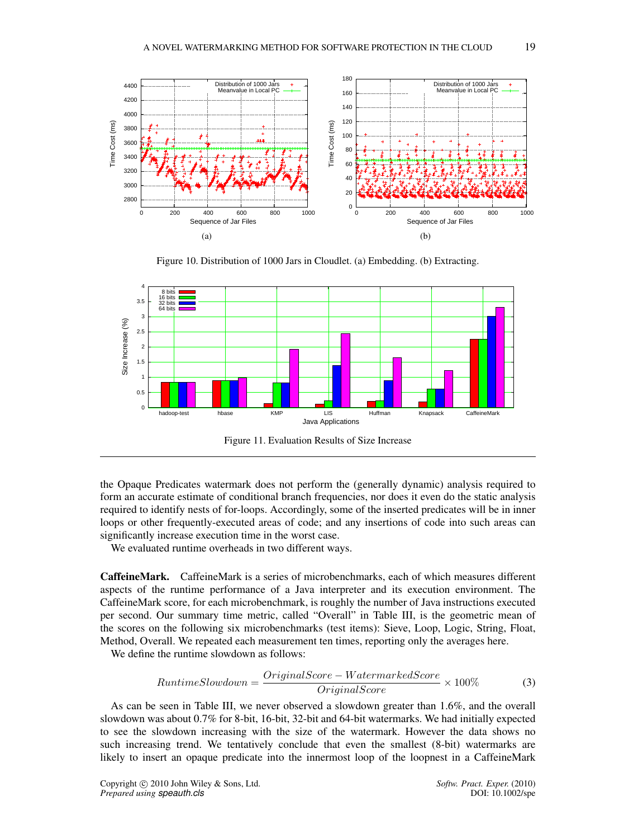

Figure 10. Distribution of 1000 Jars in Cloudlet. (a) Embedding. (b) Extracting.



Figure 11. Evaluation Results of Size Increase

the Opaque Predicates watermark does not perform the (generally dynamic) analysis required to form an accurate estimate of conditional branch frequencies, nor does it even do the static analysis required to identify nests of for-loops. Accordingly, some of the inserted predicates will be in inner loops or other frequently-executed areas of code; and any insertions of code into such areas can significantly increase execution time in the worst case.

We evaluated runtime overheads in two different ways.

CaffeineMark. CaffeineMark is a series of microbenchmarks, each of which measures different aspects of the runtime performance of a Java interpreter and its execution environment. The CaffeineMark score, for each microbenchmark, is roughly the number of Java instructions executed per second. Our summary time metric, called "Overall" in Table III, is the geometric mean of the scores on the following six microbenchmarks (test items): Sieve, Loop, Logic, String, Float, Method, Overall. We repeated each measurement ten times, reporting only the averages here.

We define the runtime slowdown as follows:

$$
Runtime Slowdown = \frac{OriginalScore - WatermarkedScore}{OriginalScore} \times 100\%
$$
 (3)

As can be seen in Table III, we never observed a slowdown greater than 1.6%, and the overall slowdown was about 0.7% for 8-bit, 16-bit, 32-bit and 64-bit watermarks. We had initially expected to see the slowdown increasing with the size of the watermark. However the data shows no such increasing trend. We tentatively conclude that even the smallest (8-bit) watermarks are likely to insert an opaque predicate into the innermost loop of the loopnest in a CaffeineMark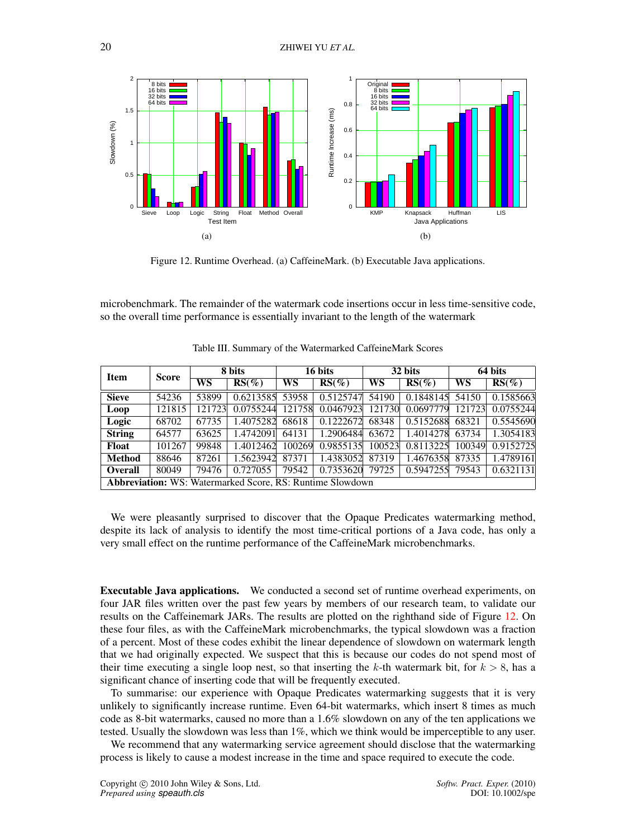

Figure 12. Runtime Overhead. (a) CaffeineMark. (b) Executable Java applications.

microbenchmark. The remainder of the watermark code insertions occur in less time-sensitive code, so the overall time performance is essentially invariant to the length of the watermark

| <b>Item</b>                                                      | <b>Score</b> | 8 bits |           | 16 bits |           | 32 bits |           | 64 bits |           |
|------------------------------------------------------------------|--------------|--------|-----------|---------|-----------|---------|-----------|---------|-----------|
|                                                                  |              | WS     | $RS(\%)$  | WS      | $RS(\%)$  | WS      | $RS(\%)$  | WS      | $RS(\%)$  |
| <b>Sieve</b>                                                     | 54236        | 53899  | 0.6213585 | 53958   | 0.5125747 | 54190   | 0.1848145 | 54150   | 0.1585663 |
| Loop                                                             | 121815       | 121723 | 0.0755244 | 121758  | 0.0467923 | 121730  | 0.0697779 | 121723  | 0.0755244 |
| Logic                                                            | 68702        | 67735  | 1.4075282 | 68618   | 0.1222672 | 68348   | 0.5152688 | 68321   | 0.5545690 |
| <b>String</b>                                                    | 64577        | 63625  | 1.4742091 | 64131   | 1.2906484 | 63672   | 1.4014278 | 63734   | 1.3054183 |
| Float                                                            | 101267       | 99848  | 1.4012462 | 100269  | 0.9855135 | 100523  | 0.8113225 | 100349  | 0.9152725 |
| <b>Method</b>                                                    | 88646        | 87261  | 1.5623942 | 87371   | 1.4383052 | 87319   | 1.4676358 | 87335   | 1.4789161 |
| <b>Overall</b>                                                   | 80049        | 79476  | 0.727055  | 79542   | 0.7353620 | 79725   | 0.5947255 | 79543   | 0.6321131 |
| <b>Abbreviation:</b> WS: Watermarked Score, RS: Runtime Slowdown |              |        |           |         |           |         |           |         |           |

Table III. Summary of the Watermarked CaffeineMark Scores

We were pleasantly surprised to discover that the Opaque Predicates watermarking method, despite its lack of analysis to identify the most time-critical portions of a Java code, has only a very small effect on the runtime performance of the CaffeineMark microbenchmarks.

Executable Java applications. We conducted a second set of runtime overhead experiments, on four JAR files written over the past few years by members of our research team, to validate our results on the Caffeinemark JARs. The results are plotted on the righthand side of Figure 12. On these four files, as with the CaffeineMark microbenchmarks, the typical slowdown was a fraction of a percent. Most of these codes exhibit the linear dependence of slowdown on watermark length that we had originally expected. We suspect that this is because our codes do not spend most of their time executing a single loop nest, so that inserting the  $k$ -th watermark bit, for  $k > 8$ , has a significant chance of inserting code that will be frequently executed.

To summarise: our experience with Opaque Predicates watermarking suggests that it is very unlikely to significantly increase runtime. Even 64-bit watermarks, which insert 8 times as much code as 8-bit watermarks, caused no more than a 1.6% slowdown on any of the ten applications we tested. Usually the slowdown was less than  $1\%$ , which we think would be imperceptible to any user.

We recommend that any watermarking service agreement should disclose that the watermarking process is likely to cause a modest increase in the time and space required to execute the code.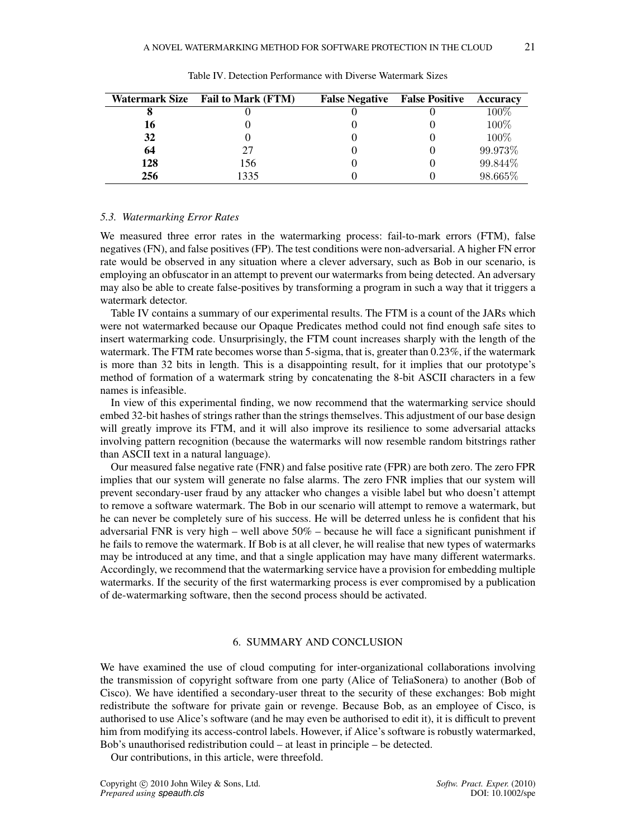|     | Watermark Size Fail to Mark (FTM) | <b>False Negative</b> | <b>False Positive</b> | Accuracy |
|-----|-----------------------------------|-----------------------|-----------------------|----------|
|     |                                   |                       |                       | 100\%    |
| 16  |                                   |                       |                       | 100%     |
| 32  |                                   |                       |                       | 100%     |
| 64  | 27                                |                       |                       | 99.973%  |
| 128 | 156                               |                       |                       | 99.844\% |
| 256 | 1335                              |                       |                       | 98.665%  |

Table IV. Detection Performance with Diverse Watermark Sizes

#### *5.3. Watermarking Error Rates*

We measured three error rates in the watermarking process: fail-to-mark errors (FTM), false negatives (FN), and false positives (FP). The test conditions were non-adversarial. A higher FN error rate would be observed in any situation where a clever adversary, such as Bob in our scenario, is employing an obfuscator in an attempt to prevent our watermarks from being detected. An adversary may also be able to create false-positives by transforming a program in such a way that it triggers a watermark detector.

Table IV contains a summary of our experimental results. The FTM is a count of the JARs which were not watermarked because our Opaque Predicates method could not find enough safe sites to insert watermarking code. Unsurprisingly, the FTM count increases sharply with the length of the watermark. The FTM rate becomes worse than 5-sigma, that is, greater than 0.23%, if the watermark is more than 32 bits in length. This is a disappointing result, for it implies that our prototype's method of formation of a watermark string by concatenating the 8-bit ASCII characters in a few names is infeasible.

In view of this experimental finding, we now recommend that the watermarking service should embed 32-bit hashes of strings rather than the strings themselves. This adjustment of our base design will greatly improve its FTM, and it will also improve its resilience to some adversarial attacks involving pattern recognition (because the watermarks will now resemble random bitstrings rather than ASCII text in a natural language).

Our measured false negative rate (FNR) and false positive rate (FPR) are both zero. The zero FPR implies that our system will generate no false alarms. The zero FNR implies that our system will prevent secondary-user fraud by any attacker who changes a visible label but who doesn't attempt to remove a software watermark. The Bob in our scenario will attempt to remove a watermark, but he can never be completely sure of his success. He will be deterred unless he is confident that his adversarial FNR is very high – well above  $50\%$  – because he will face a significant punishment if he fails to remove the watermark. If Bob is at all clever, he will realise that new types of watermarks may be introduced at any time, and that a single application may have many different watermarks. Accordingly, we recommend that the watermarking service have a provision for embedding multiple watermarks. If the security of the first watermarking process is ever compromised by a publication of de-watermarking software, then the second process should be activated.

# 6. SUMMARY AND CONCLUSION

We have examined the use of cloud computing for inter-organizational collaborations involving the transmission of copyright software from one party (Alice of TeliaSonera) to another (Bob of Cisco). We have identified a secondary-user threat to the security of these exchanges: Bob might redistribute the software for private gain or revenge. Because Bob, as an employee of Cisco, is authorised to use Alice's software (and he may even be authorised to edit it), it is difficult to prevent him from modifying its access-control labels. However, if Alice's software is robustly watermarked, Bob's unauthorised redistribution could – at least in principle – be detected.

Our contributions, in this article, were threefold.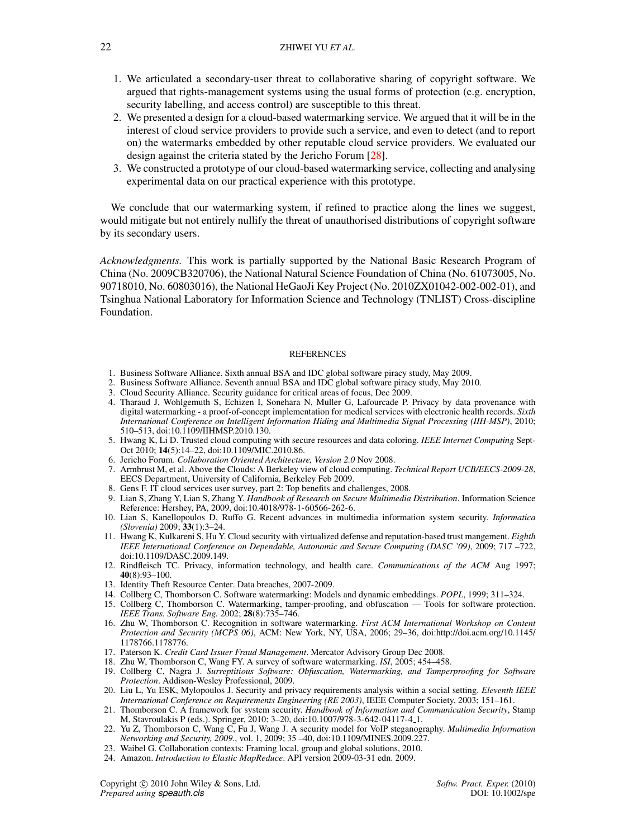- 1. We articulated a secondary-user threat to collaborative sharing of copyright software. We argued that rights-management systems using the usual forms of protection (e.g. encryption, security labelling, and access control) are susceptible to this threat.
- 2. We presented a design for a cloud-based watermarking service. We argued that it will be in the interest of cloud service providers to provide such a service, and even to detect (and to report on) the watermarks embedded by other reputable cloud service providers. We evaluated our design against the criteria stated by the Jericho Forum [28].
- 3. We constructed a prototype of our cloud-based watermarking service, collecting and analysing experimental data on our practical experience with this prototype.

We conclude that our watermarking system, if refined to practice along the lines we suggest, would mitigate but not entirely nullify the threat of unauthorised distributions of copyright software by its secondary users.

*Acknowledgments.* This work is partially supported by the National Basic Research Program of China (No. 2009CB320706), the National Natural Science Foundation of China (No. 61073005, No. 90718010, No. 60803016), the National HeGaoJi Key Project (No. 2010ZX01042-002-002-01), and Tsinghua National Laboratory for Information Science and Technology (TNLIST) Cross-discipline Foundation.

#### **REFERENCES**

- 1. Business Software Alliance. Sixth annual BSA and IDC global software piracy study, May 2009.
- 2. Business Software Alliance. Seventh annual BSA and IDC global software piracy study, May 2010.
- 3. Cloud Security Alliance. Security guidance for critical areas of focus, Dec 2009.
- 4. Tharaud J, Wohlgemuth S, Echizen I, Sonehara N, Muller G, Lafourcade P. Privacy by data provenance with digital watermarking - a proof-of-concept implementation for medical services with electronic health records. *Sixth International Conference on Intelligent Information Hiding and Multimedia Signal Processing (IIH-MSP)*, 2010; 510–513, doi:10.1109/IIHMSP.2010.130.
- 5. Hwang K, Li D. Trusted cloud computing with secure resources and data coloring. *IEEE Internet Computing* Sept-Oct 2010; 14(5):14–22, doi:10.1109/MIC.2010.86.
- 6. Jericho Forum. *Collaboration Oriented Architecture, Version 2.0* Nov 2008.
- 7. Armbrust M, et al. Above the Clouds: A Berkeley view of cloud computing. *Technical Report UCB/EECS-2009-28*, EECS Department, University of California, Berkeley Feb 2009.
- 8. Gens F. IT cloud services user survey, part 2: Top benefits and challenges, 2008.
- 9. Lian S, Zhang Y, Lian S, Zhang Y. *Handbook of Research on Secure Multimedia Distribution*. Information Science Reference: Hershey, PA, 2009, doi:10.4018/978-1-60566-262-6.
- 10. Lian S, Kanellopoulos D, Ruffo G. Recent advances in multimedia information system security. *Informatica (Slovenia)* 2009; 33(1):3–24.
- 11. Hwang K, Kulkareni S, Hu Y. Cloud security with virtualized defense and reputation-based trust mangement. *Eighth IEEE International Conference on Dependable, Autonomic and Secure Computing (DASC '09)*, 2009; 717 –722, doi:10.1109/DASC.2009.149.
- 12. Rindfleisch TC. Privacy, information technology, and health care. *Communications of the ACM* Aug 1997; 40(8):93–100.
- 13. Identity Theft Resource Center. Data breaches, 2007-2009.
- 14. Collberg C, Thomborson C. Software watermarking: Models and dynamic embeddings. *POPL*, 1999; 311–324.
- 15. Collberg C, Thomborson C. Watermarking, tamper-proofing, and obfuscation Tools for software protection. *IEEE Trans. Software Eng.* 2002; 28(8):735–746.
- 16. Zhu W, Thomborson C. Recognition in software watermarking. *First ACM International Workshop on Content Protection and Security (MCPS 06)*, ACM: New York, NY, USA, 2006; 29–36, doi:http://doi.acm.org/10.1145/ 1178766.1178776.
- 17. Paterson K. *Credit Card Issuer Fraud Management*. Mercator Advisory Group Dec 2008.
- 18. Zhu W, Thomborson C, Wang FY. A survey of software watermarking. *ISI*, 2005; 454–458.
- 19. Collberg C, Nagra J. *Surreptitious Software: Obfuscation, Watermarking, and Tamperproofing for Software Protection*. Addison-Wesley Professional, 2009.
- 20. Liu L, Yu ESK, Mylopoulos J. Security and privacy requirements analysis within a social setting. *Eleventh IEEE International Conference on Requirements Engineering (RE 2003)*, IEEE Computer Society, 2003; 151–161.
- 21. Thomborson C. A framework for system security. *Handbook of Information and Communication Security*, Stamp M, Stavroulakis P (eds.). Springer, 2010; 3–20, doi:10.1007/978-3-642-04117-4 1.
- 22. Yu Z, Thomborson C, Wang C, Fu J, Wang J. A security model for VoIP steganography. *Multimedia Information Networking and Security, 2009.*, vol. 1, 2009; 35 –40, doi:10.1109/MINES.2009.227.
- 23. Waibel G. Collaboration contexts: Framing local, group and global solutions, 2010.
- 24. Amazon. *Introduction to Elastic MapReduce*. API version 2009-03-31 edn. 2009.